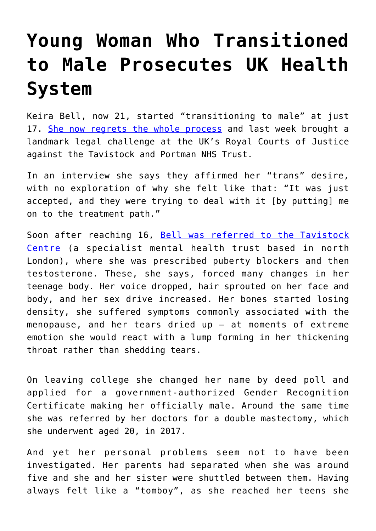## **[Young Woman Who Transitioned](https://intellectualtakeout.org/2020/10/young-woman-who-transitioned-to-male-prosecutes-uk-health-system/) [to Male Prosecutes UK Health](https://intellectualtakeout.org/2020/10/young-woman-who-transitioned-to-male-prosecutes-uk-health-system/) [System](https://intellectualtakeout.org/2020/10/young-woman-who-transitioned-to-male-prosecutes-uk-health-system/)**

Keira Bell, now 21, started "transitioning to male" at just 17. [She now regrets the whole process](https://www.telegraph.co.uk/family/life/knew-wasnt-like-biological-men-would-always-female-no-matter/) and last week brought a landmark legal challenge at the UK's Royal Courts of Justice against the Tavistock and Portman NHS Trust.

In an interview she says they affirmed her "trans" desire, with no exploration of why she felt like that: "It was just accepted, and they were trying to deal with it [by putting] me on to the treatment path."

Soon after reaching 16, [Bell was referred to the Tavistock](https://www.mirror.co.uk/tv/tv-news/former-transgender-man-suing-gender-22800014) [Centre](https://www.mirror.co.uk/tv/tv-news/former-transgender-man-suing-gender-22800014) (a specialist mental health trust based in north London), where she was prescribed puberty blockers and then testosterone. These, she says, forced many changes in her teenage body. Her voice dropped, hair sprouted on her face and body, and her sex drive increased. Her bones started losing density, she suffered symptoms commonly associated with the menopause, and her tears dried up – at moments of extreme emotion she would react with a lump forming in her thickening throat rather than shedding tears.

On leaving college she changed her name by deed poll and applied for a government-authorized Gender Recognition Certificate making her officially male. Around the same time she was referred by her doctors for a double mastectomy, which she underwent aged 20, in 2017.

And yet her personal problems seem not to have been investigated. Her parents had separated when she was around five and she and her sister were shuttled between them. Having always felt like a "tomboy", as she reached her teens she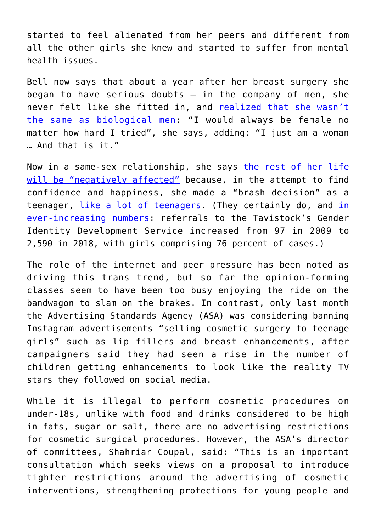started to feel alienated from her peers and different from all the other girls she knew and started to suffer from mental health issues.

Bell now says that about a year after her breast surgery she began to have serious doubts  $-$  in the company of men, she never felt like she fitted in, and [realized that she wasn't](https://www.bbc.com/news/health-51676020) [the same as biological men:](https://www.bbc.com/news/health-51676020) "I would always be female no matter how hard I tried", she says, adding: "I just am a woman … And that is it."

Now in a same-sex relationship, she says [the rest of her life](https://metro.co.uk/2020/10/06/woman-suing-gender-clinic-after-regretting-her-decision-to-transition-to-man-13379005/) [will be "negatively affected"](https://metro.co.uk/2020/10/06/woman-suing-gender-clinic-after-regretting-her-decision-to-transition-to-man-13379005/) because, in the attempt to find confidence and happiness, she made a "brash decision" as a teenager, [like a lot of teenagers](https://www.telegraph.co.uk/family/life/knew-wasnt-like-biological-men-would-always-female-no-matter/). (They certainly do, and [in](https://www.telegraph.co.uk/family/life/knew-wasnt-like-biological-men-would-always-female-no-matter/) [ever-increasing numbers:](https://www.telegraph.co.uk/family/life/knew-wasnt-like-biological-men-would-always-female-no-matter/) referrals to the Tavistock's Gender Identity Development Service increased from 97 in 2009 to 2,590 in 2018, with girls comprising 76 percent of cases.)

The role of the internet and peer pressure has been noted as driving this trans trend, but so far the opinion-forming classes seem to have been too busy enjoying the ride on the bandwagon to slam on the brakes. In contrast, only last month the Advertising Standards Agency (ASA) was considering banning Instagram advertisements "selling cosmetic surgery to teenage girls" such as lip fillers and breast enhancements, after campaigners said they had seen a rise in the number of children getting enhancements to look like the reality TV stars they followed on social media.

While it is illegal to perform cosmetic procedures on under-18s, unlike with food and drinks considered to be high in fats, sugar or salt, there are no advertising restrictions for cosmetic surgical procedures. However, the ASA's director of committees, Shahriar Coupal, said: "This is an important consultation which seeks views on a proposal to introduce tighter restrictions around the advertising of cosmetic interventions, strengthening protections for young people and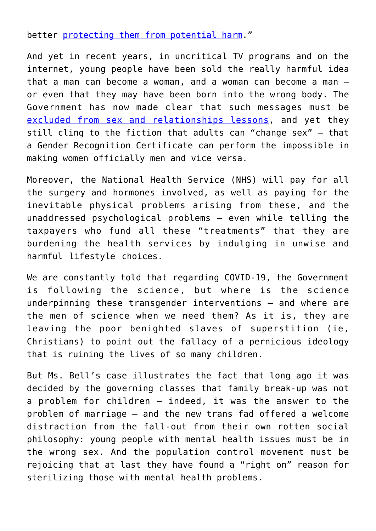better [protecting them from potential harm.](https://www.telegraph.co.uk/news/2020/09/10/social-media-ads-selling-cosmetic-surgery-teenage-girls-could/)"

And yet in recent years, in uncritical TV programs and on the internet, young people have been sold the really harmful idea that a man can become a woman, and a woman can become a man – or even that they may have been born into the wrong body. The Government has now made clear that such messages must be [excluded from sex and relationships lessons](https://www.gov.uk/guidance/teaching-about-relationships-sex-and-health), and yet they still cling to the fiction that adults can "change sex" – that a Gender Recognition Certificate can perform the impossible in making women officially men and vice versa.

Moreover, the National Health Service (NHS) will pay for all the surgery and hormones involved, as well as paying for the inevitable physical problems arising from these, and the unaddressed psychological problems – even while telling the taxpayers who fund all these "treatments" that they are burdening the health services by indulging in unwise and harmful lifestyle choices.

We are constantly told that regarding COVID-19, the Government is following the science, but where is the science underpinning these transgender interventions – and where are the men of science when we need them? As it is, they are leaving the poor benighted slaves of superstition (ie, Christians) to point out the fallacy of a pernicious ideology that is ruining the lives of so many children.

But Ms. Bell's case illustrates the fact that long ago it was decided by the governing classes that family break-up was not a problem for children – indeed, it was the answer to the problem of marriage – and the new trans fad offered a welcome distraction from the fall-out from their own rotten social philosophy: young people with mental health issues must be in the wrong sex. And the population control movement must be rejoicing that at last they have found a "right on" reason for sterilizing those with mental health problems.